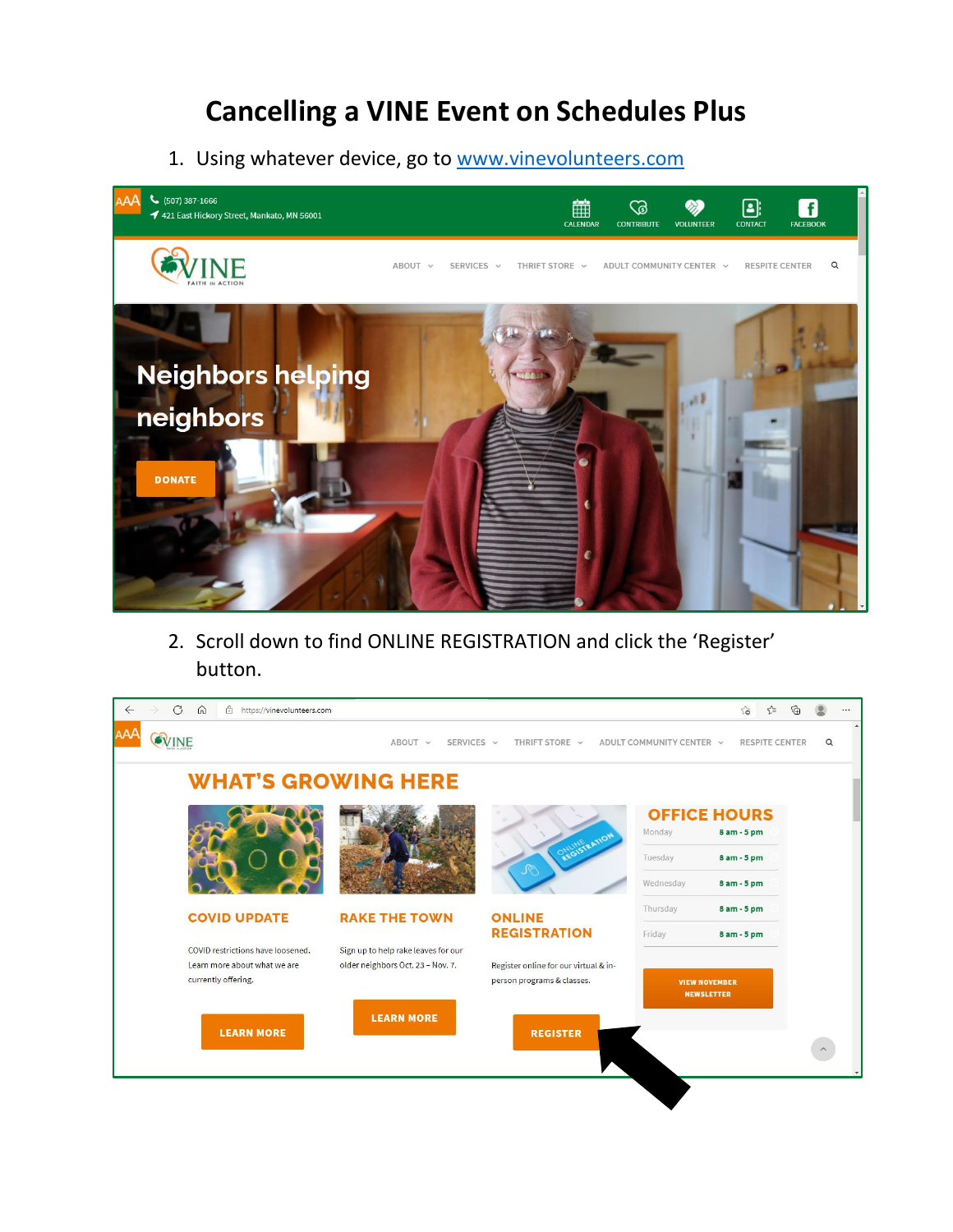## **Cancelling a VINE Event on Schedules Plus**

1. Using whatever device, go to [www.vinevolunteers.com](http://www.vinevolunteers.com/)



2. Scroll down to find ONLINE REGISTRATION and click the 'Register' button.

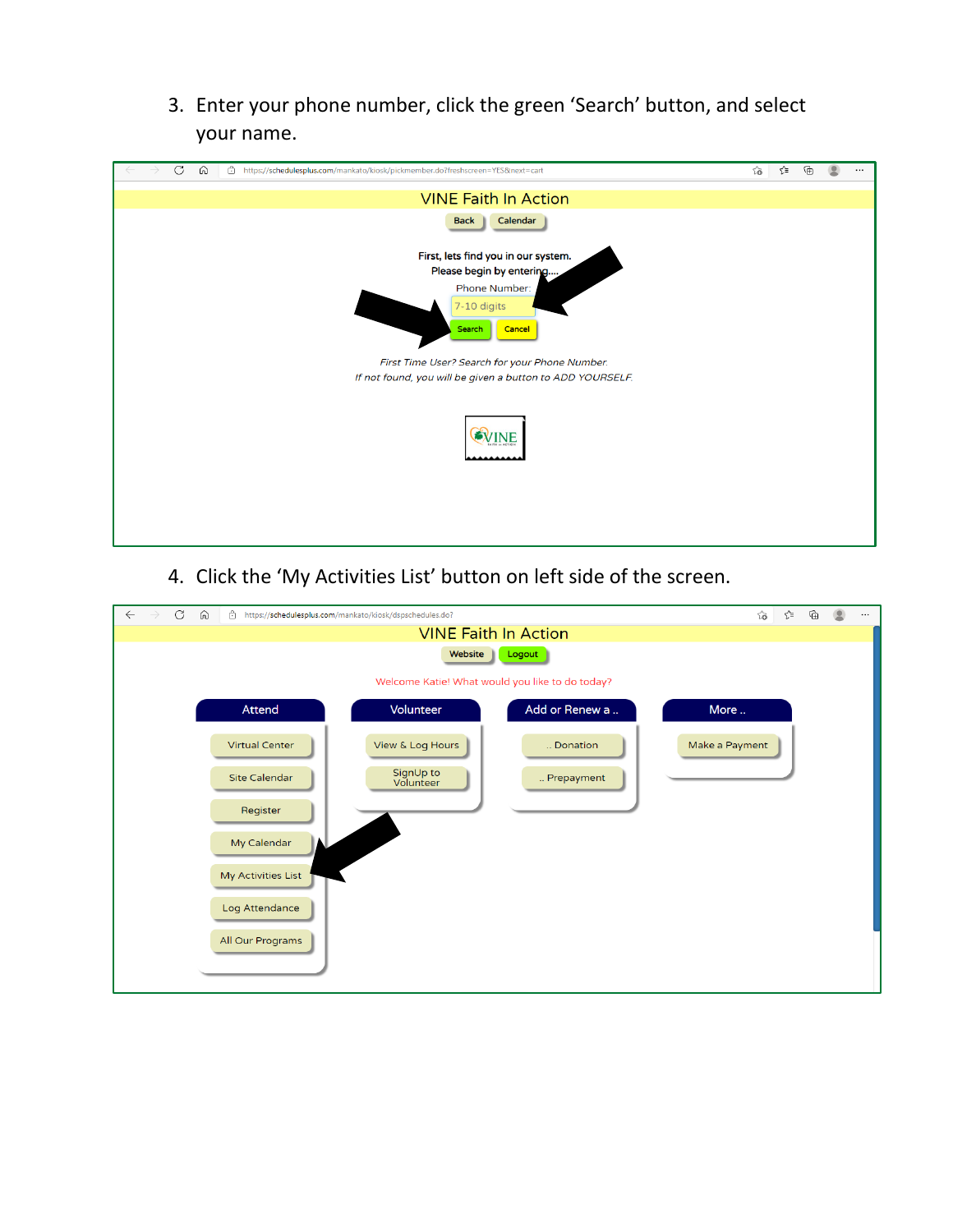3. Enter your phone number, click the green 'Search' button, and select your name.

|  | $\mathcal{C}$ | ⋒ | ô<br>https://schedulesplus.com/mankato/kiosk/pickmember.do?freshscreen=YES&next=cart | సం | ≮ิ≡ | ⊕ |  |
|--|---------------|---|--------------------------------------------------------------------------------------|----|-----|---|--|
|  |               |   | <b>VINE Faith In Action</b>                                                          |    |     |   |  |
|  |               |   | Calendar<br><b>Back</b>                                                              |    |     |   |  |
|  |               |   | First, lets find you in our system.                                                  |    |     |   |  |
|  |               |   | Please begin by entering                                                             |    |     |   |  |
|  |               |   | Phone Number:<br>7-10 digits<br>Search<br>Cancel                                     |    |     |   |  |
|  |               |   | First Time User? Search for your Phone Number.                                       |    |     |   |  |
|  |               |   | If not found, you will be given a button to ADD YOURSELF.                            |    |     |   |  |
|  |               |   | <b>VINE</b>                                                                          |    |     |   |  |

4. Click the 'My Activities List' button on left side of the screen.

| C<br>⋒<br>â<br>$\leftarrow$<br>https://schedulesplus.com/mankato/kiosk/dspschedules.do?<br>$\rightarrow$ | ₲<br>ร′ิ≡<br>ະຣ<br>$\cdots$ |  |  |  |  |  |  |  |
|----------------------------------------------------------------------------------------------------------|-----------------------------|--|--|--|--|--|--|--|
| <b>VINE Faith In Action</b>                                                                              |                             |  |  |  |  |  |  |  |
| Website<br>Logout                                                                                        |                             |  |  |  |  |  |  |  |
| Welcome Katie! What would you like to do today?                                                          |                             |  |  |  |  |  |  |  |
| Volunteer<br>Attend                                                                                      | Add or Renew a<br>More      |  |  |  |  |  |  |  |
| View & Log Hours<br><b>Virtual Center</b>                                                                | Make a Payment<br>Donation  |  |  |  |  |  |  |  |
| SignUp to<br><b>Site Calendar</b><br>Volunteer                                                           | Prepayment                  |  |  |  |  |  |  |  |
| Register                                                                                                 |                             |  |  |  |  |  |  |  |
| My Calendar                                                                                              |                             |  |  |  |  |  |  |  |
| My Activities List                                                                                       |                             |  |  |  |  |  |  |  |
| Log Attendance                                                                                           |                             |  |  |  |  |  |  |  |
| All Our Programs                                                                                         |                             |  |  |  |  |  |  |  |
|                                                                                                          |                             |  |  |  |  |  |  |  |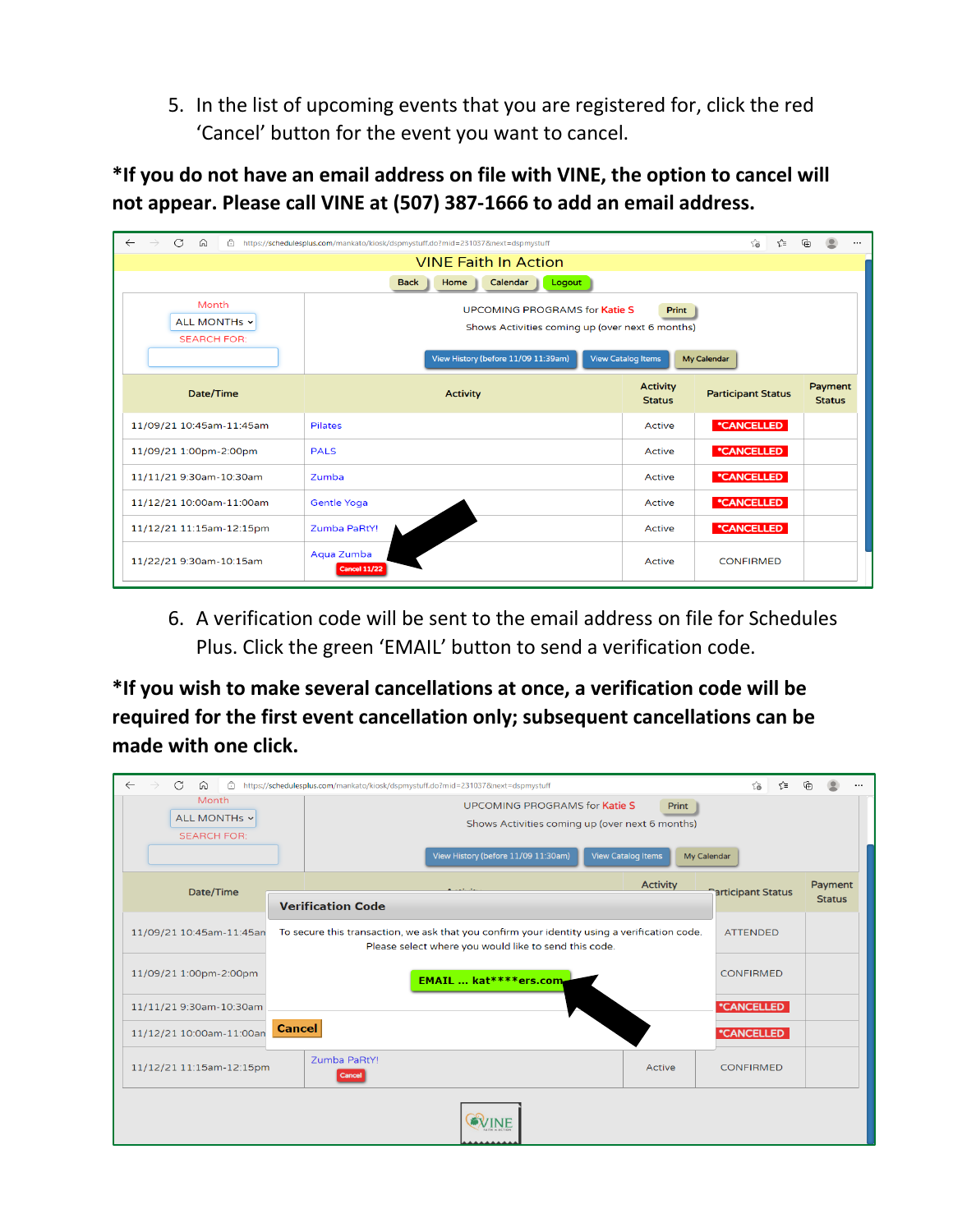5. In the list of upcoming events that you are registered for, click the red 'Cancel' button for the event you want to cancel.

**\*If you do not have an email address on file with VINE, the option to cancel will not appear. Please call VINE at (507) 387-1666 to add an email address.**

| $\rightarrow$<br>$\circ$<br>$\leftarrow$<br>⋒<br>Â                                                                                                                                                                                 | https://schedulesplus.com/mankato/kiosk/dspmystuff.do?mid=2310378.next=dspmystuff |                                  | సం<br>੯≡                  |                          |  |  |
|------------------------------------------------------------------------------------------------------------------------------------------------------------------------------------------------------------------------------------|-----------------------------------------------------------------------------------|----------------------------------|---------------------------|--------------------------|--|--|
| <b>VINE Faith In Action</b>                                                                                                                                                                                                        |                                                                                   |                                  |                           |                          |  |  |
|                                                                                                                                                                                                                                    | Logout<br>Calendar<br>Home<br><b>Back</b>                                         |                                  |                           |                          |  |  |
| Month<br><b>UPCOMING PROGRAMS for Katie S</b><br>Print<br>ALL MONTHS v<br>Shows Activities coming up (over next 6 months)<br><b>SEARCH FOR:</b><br><b>View Catalog Items</b><br>View History (before 11/09 11:39am)<br>My Calendar |                                                                                   |                                  |                           |                          |  |  |
| Date/Time                                                                                                                                                                                                                          | <b>Activity</b>                                                                   | <b>Activity</b><br><b>Status</b> | <b>Participant Status</b> | Payment<br><b>Status</b> |  |  |
| 11/09/21 10:45am-11:45am                                                                                                                                                                                                           | <b>Pilates</b>                                                                    | <b>Active</b>                    | *CANCELLED                |                          |  |  |
| 11/09/21 1:00pm-2:00pm                                                                                                                                                                                                             | <b>PALS</b>                                                                       | <b>Active</b>                    | *CANCELLED                |                          |  |  |
| 11/11/21 9:30am-10:30am                                                                                                                                                                                                            | Zumba                                                                             | <b>Active</b>                    | *CANCELLED                |                          |  |  |
| 11/12/21 10:00am-11:00am                                                                                                                                                                                                           | <b>Gentle Yoga</b>                                                                | Active                           | *CANCELLED                |                          |  |  |
| 11/12/21 11:15am-12:15pm                                                                                                                                                                                                           | Zumba PaRtY!                                                                      | <b>Active</b>                    | *CANCELLED                |                          |  |  |
| 11/22/21 9:30am-10:15am                                                                                                                                                                                                            | Aqua Zumba<br><b>Cancel 11/22</b>                                                 | Active                           | <b>CONFIRMED</b>          |                          |  |  |

6. A verification code will be sent to the email address on file for Schedules Plus. Click the green 'EMAIL' button to send a verification code.

**\*If you wish to make several cancellations at once, a verification code will be required for the first event cancellation only; subsequent cancellations can be made with one click.** 

| C<br>â<br>⋒              | https://schedulesplus.com/mankato/kiosk/dspmystuff.do?mid=231037&next=dspmystuff                                                                      | ร2≡<br>సం                 | 庙             |  |  |  |
|--------------------------|-------------------------------------------------------------------------------------------------------------------------------------------------------|---------------------------|---------------|--|--|--|
| Month                    | <b>UPCOMING PROGRAMS for Katie S</b><br>Print                                                                                                         |                           |               |  |  |  |
| ALL MONTHs v             | Shows Activities coming up (over next 6 months)                                                                                                       |                           |               |  |  |  |
| <b>SEARCH FOR:</b>       |                                                                                                                                                       |                           |               |  |  |  |
|                          | <b>View Catalog Items</b><br>View History (before 11/09 11:30am)<br>My Calendar                                                                       |                           |               |  |  |  |
| Date/Time                | <b>Activity</b><br>$A = 1.5 - 1.6$                                                                                                                    | <b>Sarticipant Status</b> | Payment       |  |  |  |
|                          | <b>Verification Code</b>                                                                                                                              |                           | <b>Status</b> |  |  |  |
| 11/09/21 10:45am-11:45an | To secure this transaction, we ask that you confirm your identity using a verification code.<br>Please select where you would like to send this code. | <b>ATTENDED</b>           |               |  |  |  |
| 11/09/21 1:00pm-2:00pm   | <b>EMAIL  kat****ers.com</b>                                                                                                                          | <b>CONFIRMED</b>          |               |  |  |  |
| 11/11/21 9:30am-10:30am  |                                                                                                                                                       | *CANCELLED                |               |  |  |  |
| 11/12/21 10:00am-11:00an | <b>Cancel</b>                                                                                                                                         | *CANCELLED                |               |  |  |  |
| 11/12/21 11:15am-12:15pm | Zumba PaRtY!<br>Active<br>Cancel                                                                                                                      | <b>CONFIRMED</b>          |               |  |  |  |
|                          |                                                                                                                                                       |                           |               |  |  |  |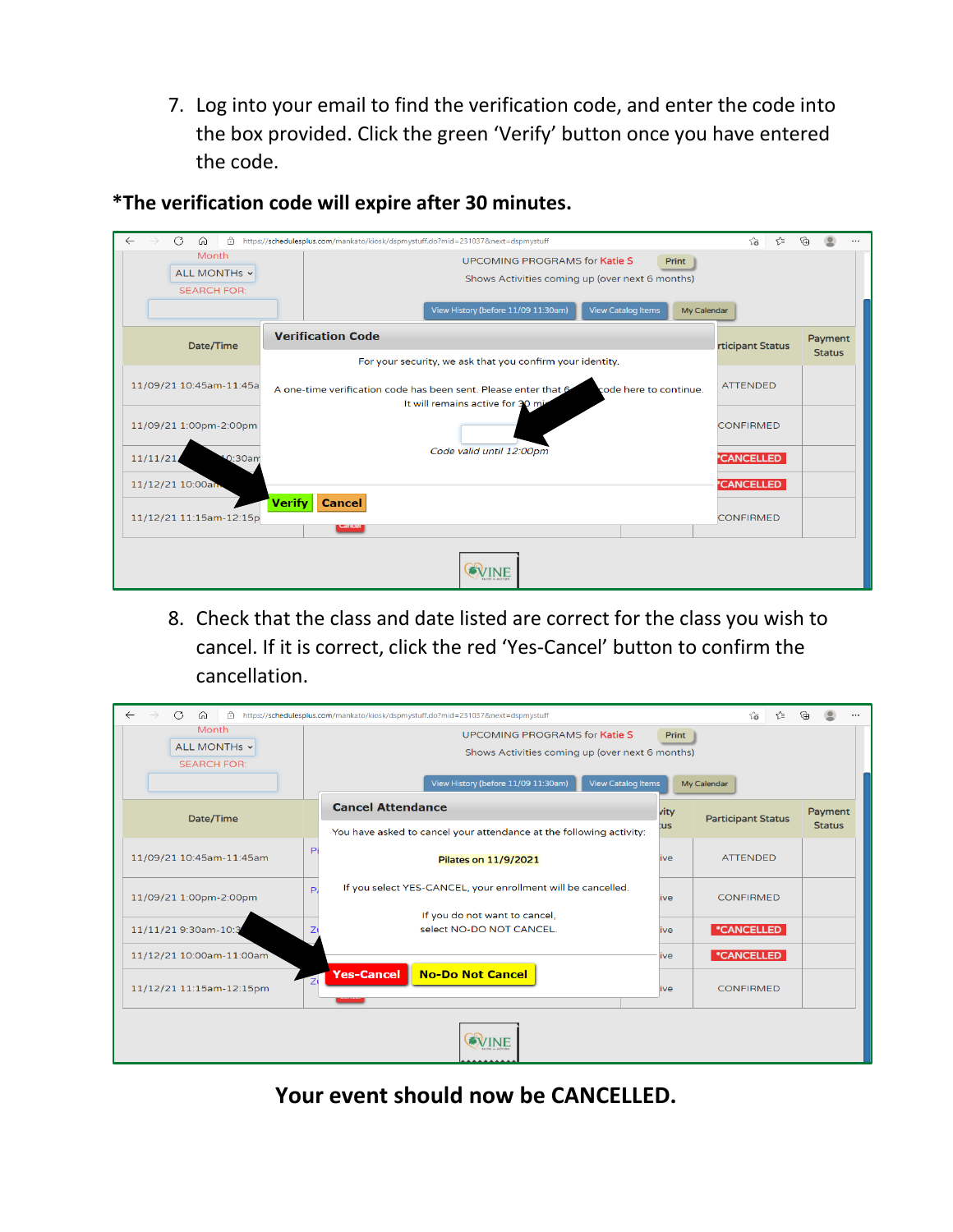7. Log into your email to find the verification code, and enter the code into the box provided. Click the green 'Verify' button once you have entered the code.

| $\leftarrow$<br>C<br>$\rightarrow$<br>A<br>⋒ | https://schedulesplus.com/mankato/kiosk/dspmystuff.do?mid=231037&next=dspmystuff                                                                                                           | సం<br>√≅         |                          |  |  |
|----------------------------------------------|--------------------------------------------------------------------------------------------------------------------------------------------------------------------------------------------|------------------|--------------------------|--|--|
| Month<br>ALL MONTHs v<br><b>SEARCH FOR:</b>  | <b>UPCOMING PROGRAMS for Katie S</b><br><b>Print</b><br>Shows Activities coming up (over next 6 months)<br>View History (before 11/09 11:30am)<br><b>View Catalog Items</b><br>My Calendar |                  |                          |  |  |
| Date/Time                                    | <b>Verification Code</b><br>For your security, we ask that you confirm your identity.                                                                                                      | rticipant Status | Payment<br><b>Status</b> |  |  |
| 11/09/21 10:45am-11:45a                      | A one-time verification code has been sent. Please enter that 6<br>code here to continue.<br>It will remains active for 30 min                                                             |                  |                          |  |  |
| 11/09/21 1:00pm-2:00pm                       |                                                                                                                                                                                            | <b>CONFIRMED</b> |                          |  |  |
| 11/11/21/<br>10:30am                         | Code valid until 12:00pm                                                                                                                                                                   | <b>CANCELLED</b> |                          |  |  |
| 11/12/21 10:00am                             | <b>Verify</b><br><b>Cancel</b>                                                                                                                                                             | <b>CANCELLED</b> |                          |  |  |
| 11/12/21 11:15am-12:15p                      | Carreer                                                                                                                                                                                    | <b>CONFIRMED</b> |                          |  |  |
| VINE                                         |                                                                                                                                                                                            |                  |                          |  |  |

**\*The verification code will expire after 30 minutes.**

8. Check that the class and date listed are correct for the class you wish to cancel. If it is correct, click the red 'Yes-Cancel' button to confirm the cancellation.



**Your event should now be CANCELLED.**